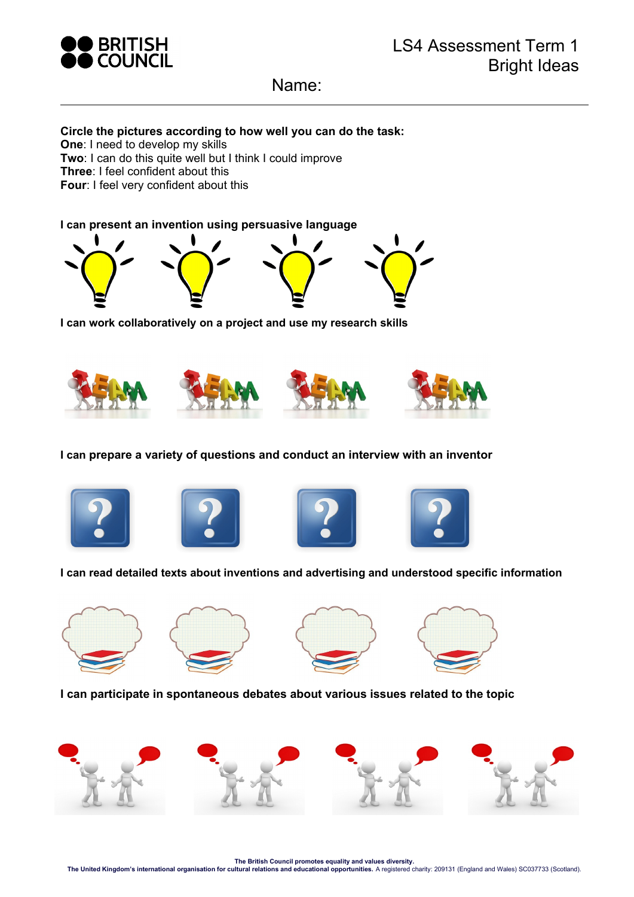

Name:

## **Circle the pictures according to how well you can do the task:**

**One**: I need to develop my skills

**Two**: I can do this quite well but I think I could improve

**Three**: I feel confident about this

**Four**: I feel very confident about this

**I can present an invention using persuasive language** 



**I can work collaboratively on a project and use my research skills** 



**I can prepare a variety of questions and conduct an interview with an inventor** 









**I can read detailed texts about inventions and advertising and understood specific information** 









**I can participate in spontaneous debates about various issues related to the topic**